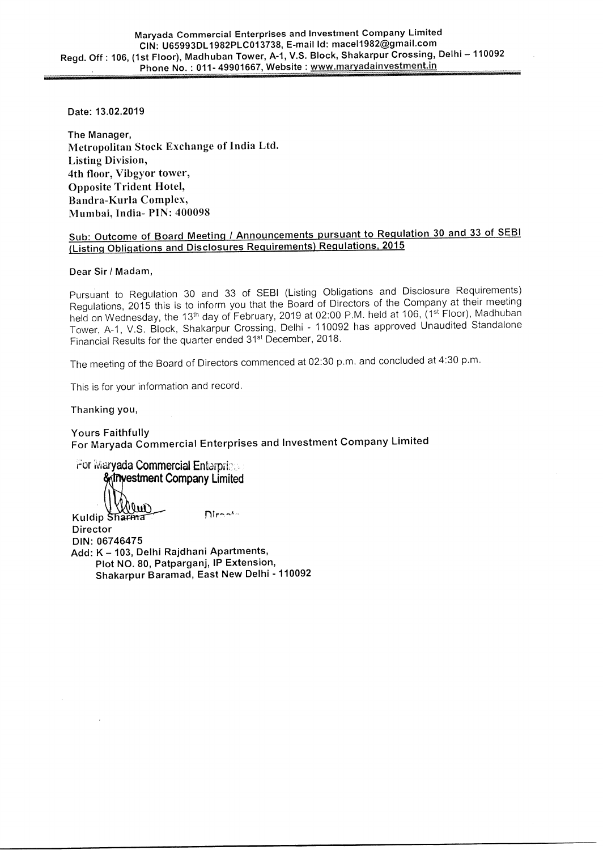**Date: 13.02.2019** 

**The Manager, Metropolitan Stock Exchange of India Ltd. Listing Division, 4th floor, Vibgyor tower, Opposite Trident Hotel, Bandra-Kurla Complex, Mumbai, India- PIN: 400098** 

### **Sub: Outcome of Board Meeting / Announcements pursuant to Regulation 30 and 33 of SEBI (Listing Obligations and Disclosures Requirements) Regulations, 2015**

#### **Dear Sir / Madam,**

Pursuant to Regulation 30 and 33 of SEBI (Listing Obligations and Disclosure Requirements) Regulations, 2015 this is to inform you that the Board of Directors of the Company at their meeting held on Wednesday, the 13<sup>th</sup> day of February, 2019 at 02:00 P.M. held at 106, (1st Floor), Madhuban Tower, A-1, V.S. Block, Shakarpur Crossing, Delhi - 110092 has approved Unaudited Standalone Financial Results for the quarter ended 31st December, 2018.

The meeting of the Board of Directors commenced at 02:30 p.m. and concluded at 4:30 p.m.

This is for your information and record.

**Thanking you,** 

**Yours Faithfully For Maryada Commercial Enterprises and Investment Company Limited** 

For Maryada Commercial Enterprists *<u>estment</u>* Company Limited auls **Kuldip** 

Diron<sup>t</sup>

**Director DIN: 06746475 Add: K — 103, Delhi Rajdhani Apartments, Plot NO. 80, Patparganj, IP Extension, Shakarpur Baramad, East New Delhi - 110092**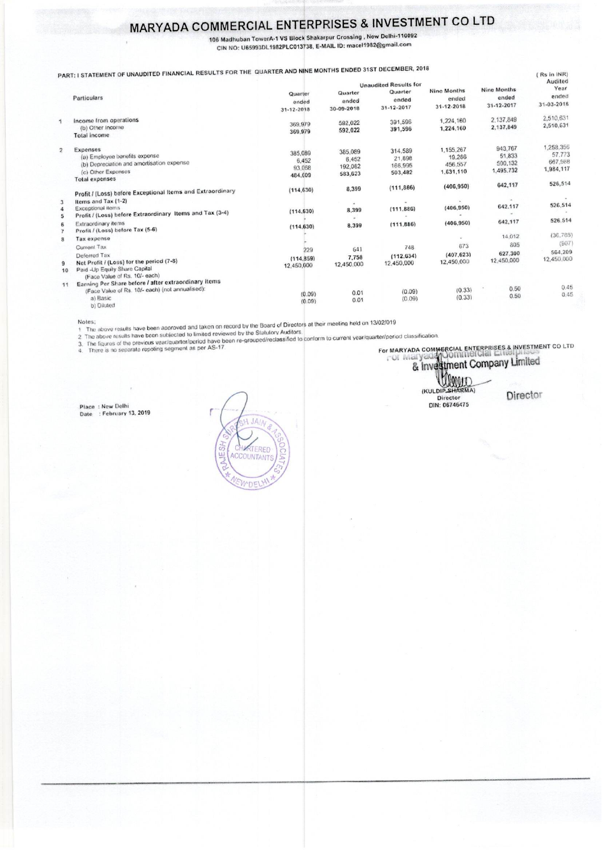## MARYADA COMMERCIAL ENTERPRISES & INVESTMENT CO LTD

106 Madhuban TowerA-1 VS Block Shakarpur Crossing, New Delhi-110092 CIN NO: U65993DL1982PLC013738, E-MAIL ID: macel1982@gmail.com

TATEMENT OF UNAUDITED FINANCIAL RESULTS FOR THE QUARTER AND NINE MONTHS ENDED 31ST DECEMBER, 2018

|                | PART: I STATEMENT OF UNADDITED THE CO.                                                                                                                             |                                       |                                        | <b>Unaudited Results for</b>            |                                             |                                           | 112211111111<br>Audited                     |
|----------------|--------------------------------------------------------------------------------------------------------------------------------------------------------------------|---------------------------------------|----------------------------------------|-----------------------------------------|---------------------------------------------|-------------------------------------------|---------------------------------------------|
|                | Particulars                                                                                                                                                        | Quarter<br>ended<br>31-12-2018        | Quarter<br>ended<br>30-09-2018         | Quarter<br>ended<br>31-12-2017          | <b>Nine Months</b><br>ended<br>31-12-2018   | Nine Months<br>ended<br>31-12-2017        | Year<br>ended<br>31-03-2018                 |
| $\mathcal{A}$  | Income from operations<br>(b) Other Income<br>Total income                                                                                                         | 369,979<br>369.979                    | 592,022<br>592,022                     | 391,596<br>391.596                      | 1,224,160<br>1,224,160                      | 2.137.849<br>2,137,849                    | 2,510,631<br>2,510,631                      |
| $\overline{2}$ | Expenses<br>(a) Employee benefits expense<br>(b) Depreciation and amortisation expense<br>(c) Other Expenses<br><b>Total expenses</b>                              | 385,089<br>6.452<br>93.068<br>484.609 | 385,089<br>6,452<br>192,082<br>583,623 | 314.589<br>21.898<br>166,995<br>503,482 | 1.155.267<br>19.286<br>456.557<br>1,631,110 | 943,767<br>51,833<br>500,132<br>1,495.732 | 1.258.356<br>57.773<br>667,988<br>1,984,117 |
|                | Profit / (Loss) before Exceptional Items and Extraordinary                                                                                                         | (114, 630)                            | 8,399                                  | (111.886)                               | (406, 950)                                  | 642,117                                   | 526,514                                     |
| 3<br>4         | Items and Tax (1-2)<br>Exceptional items<br>Profit / (Loss) before Extraordinary Items and Tax (3-4)                                                               | (114.630)                             | 8,399<br>٠                             | (111.886)                               | (406, 950)                                  | 642.117                                   | 526,514                                     |
|                | Extraordinary items<br>Profit / (Loss) before Tax (5-6)                                                                                                            | (114.630)                             | 8,399                                  | (111.886)                               | (406.950)                                   | 642,117                                   | 526.514                                     |
| 8              | Tax expense<br>Current Tax                                                                                                                                         | 229                                   | 641                                    | 748                                     | 673                                         | 14.012<br>805                             | (36.788)<br>(907)<br>564,209                |
| 9<br>10        | Deferred Tax<br>Net Profit / (Loss) for the period (7-8)<br>Paid -Up Equity Share Capital                                                                          | (114, 859)<br>12.450,000              | 7.758<br>12,450,000                    | (112.634)<br>12,450,000                 | (407, 623)<br>12,450,000                    | 627,300<br>12,450,000                     | 12,450,000                                  |
| 11             | (Face Value of Rs. 10/- each)<br>Earning Per Share before / after extraordinary items<br>(Face Value of Rs. 10/- each) (not annualised):<br>a) Basic<br>b) Diluted | (0.09)<br>(0.09)                      | 0.01<br>0.01                           | (0.09)<br>(0.09)                        | (0.33)<br>(0.33)                            | 0.50<br>0.50                              | 0.45<br>0.45                                |

Notes;<br>
1 The above results have been approved and taken on record by the Board of Directors at their meeting held on 13/02/019<br>
2 The above results have been subjected to limited reviewed by the Statutory Auditors.<br>
3. Th

# For MARYADA COMMERCIAL ENTERPRISES & INVESTMENT CO LTD

(KULDIP SHARMA)

**Director** 

 $(0, \ln \ln |N|)$ 

Place: New Delhi<br>Date: : February 13, 2019 Date